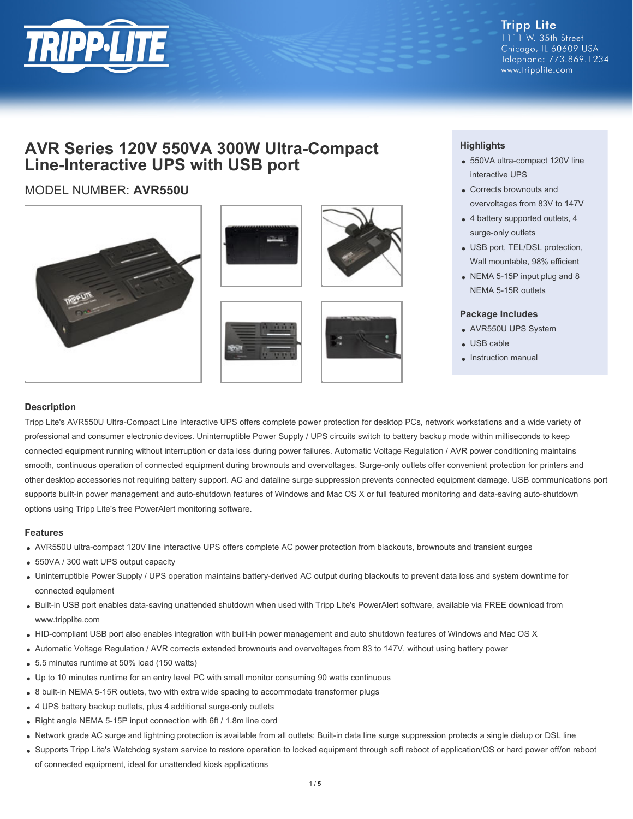

**Tripp Lite** 1111 W. 35th Street Chicago, IL 60609 USA Telephone: 773.869.1234 www.tripplite.com

# **AVR Series 120V 550VA 300W Ultra-Compact Line-Interactive UPS with USB port**

# MODEL NUMBER: **AVR550U**









## **Highlights**

- 550VA ultra-compact 120V line interactive UPS
- Corrects brownouts and overvoltages from 83V to 147V
- 4 battery supported outlets, 4 surge-only outlets
- USB port, TEL/DSL protection, Wall mountable, 98% efficient
- NEMA 5-15P input plug and 8 NEMA 5-15R outlets

#### **Package Includes**

- AVR550U UPS System
- USB cable
- Instruction manual

### **Description**

Tripp Lite's AVR550U Ultra-Compact Line Interactive UPS offers complete power protection for desktop PCs, network workstations and a wide variety of professional and consumer electronic devices. Uninterruptible Power Supply / UPS circuits switch to battery backup mode within milliseconds to keep connected equipment running without interruption or data loss during power failures. Automatic Voltage Regulation / AVR power conditioning maintains smooth, continuous operation of connected equipment during brownouts and overvoltages. Surge-only outlets offer convenient protection for printers and other desktop accessories not requiring battery support. AC and dataline surge suppression prevents connected equipment damage. USB communications port supports built-in power management and auto-shutdown features of Windows and Mac OS X or full featured monitoring and data-saving auto-shutdown options using Tripp Lite's free PowerAlert monitoring software.

#### **Features**

- AVR550U ultra-compact 120V line interactive UPS offers complete AC power protection from blackouts, brownouts and transient surges
- 550VA / 300 watt UPS output capacity
- Uninterruptible Power Supply / UPS operation maintains battery-derived AC output during blackouts to prevent data loss and system downtime for connected equipment
- Built-in USB port enables data-saving unattended shutdown when used with Tripp Lite's PowerAlert software, available via FREE download from www.tripplite.com
- HID-compliant USB port also enables integration with built-in power management and auto shutdown features of Windows and Mac OS X
- Automatic Voltage Regulation / AVR corrects extended brownouts and overvoltages from 83 to 147V, without using battery power
- 5.5 minutes runtime at 50% load (150 watts)
- Up to 10 minutes runtime for an entry level PC with small monitor consuming 90 watts continuous
- 8 built-in NEMA 5-15R outlets, two with extra wide spacing to accommodate transformer plugs
- 4 UPS battery backup outlets, plus 4 additional surge-only outlets
- Right angle NEMA 5-15P input connection with 6ft / 1.8m line cord
- Network grade AC surge and lightning protection is available from all outlets; Built-in data line surge suppression protects a single dialup or DSL line
- Supports Tripp Lite's Watchdog system service to restore operation to locked equipment through soft reboot of application/OS or hard power off/on reboot of connected equipment, ideal for unattended kiosk applications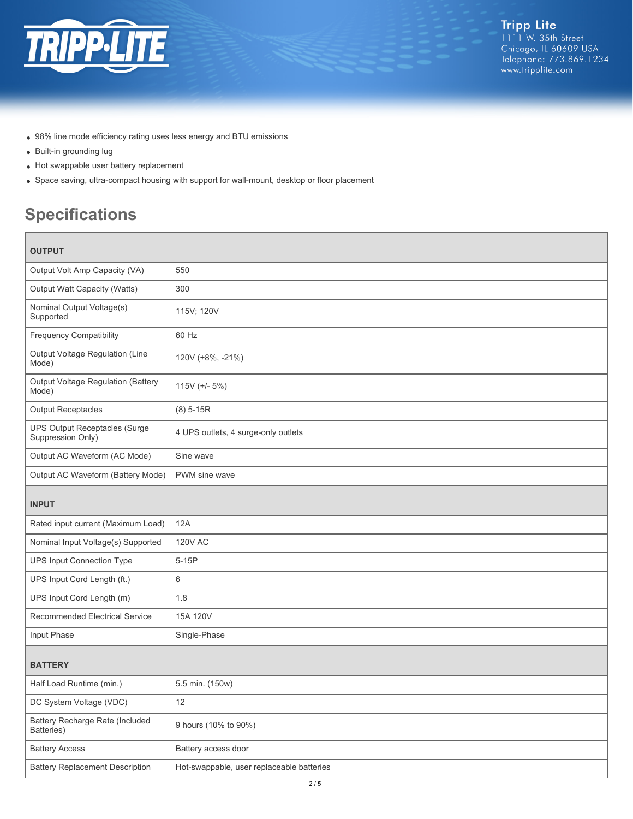

- 98% line mode efficiency rating uses less energy and BTU emissions
- Built-in grounding lug
- Hot swappable user battery replacement
- Space saving, ultra-compact housing with support for wall-mount, desktop or floor placement

# **Specifications**

| <b>OUTPUT</b>                                             |                                           |
|-----------------------------------------------------------|-------------------------------------------|
| Output Volt Amp Capacity (VA)                             | 550                                       |
| Output Watt Capacity (Watts)                              | 300                                       |
| Nominal Output Voltage(s)<br>Supported                    | 115V; 120V                                |
| <b>Frequency Compatibility</b>                            | 60 Hz                                     |
| Output Voltage Regulation (Line<br>Mode)                  | 120V (+8%, -21%)                          |
| Output Voltage Regulation (Battery<br>Mode)               | 115V $(+/- 5%)$                           |
| <b>Output Receptacles</b>                                 | $(8)$ 5-15R                               |
| <b>UPS Output Receptacles (Surge</b><br>Suppression Only) | 4 UPS outlets, 4 surge-only outlets       |
| Output AC Waveform (AC Mode)                              | Sine wave                                 |
| Output AC Waveform (Battery Mode)                         | PWM sine wave                             |
| <b>INPUT</b>                                              |                                           |
| Rated input current (Maximum Load)                        | 12A                                       |
| Nominal Input Voltage(s) Supported                        | <b>120V AC</b>                            |
| UPS Input Connection Type                                 | $5-15P$                                   |
| UPS Input Cord Length (ft.)                               | 6                                         |
| UPS Input Cord Length (m)                                 | 1.8                                       |
| Recommended Electrical Service                            | 15A 120V                                  |
| Input Phase                                               | Single-Phase                              |
| <b>BATTERY</b>                                            |                                           |
| Half Load Runtime (min.)                                  | 5.5 min. (150w)                           |
| DC System Voltage (VDC)                                   | 12                                        |
| Battery Recharge Rate (Included<br>Batteries)             | 9 hours (10% to 90%)                      |
| <b>Battery Access</b>                                     | Battery access door                       |
| <b>Battery Replacement Description</b>                    | Hot-swappable, user replaceable batteries |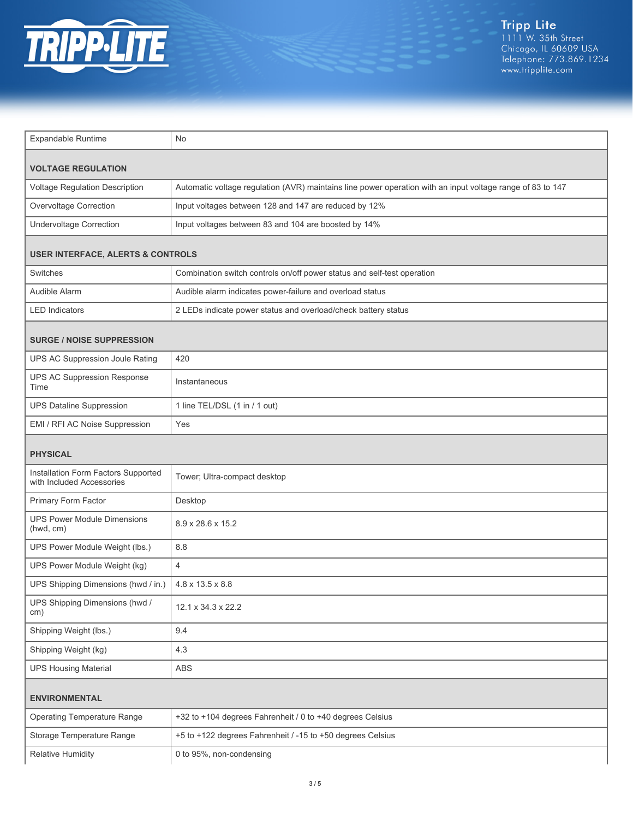

| <b>Expandable Runtime</b>                                        | <b>No</b>                                                                                                  |  |
|------------------------------------------------------------------|------------------------------------------------------------------------------------------------------------|--|
| <b>VOLTAGE REGULATION</b>                                        |                                                                                                            |  |
| Voltage Regulation Description                                   | Automatic voltage regulation (AVR) maintains line power operation with an input voltage range of 83 to 147 |  |
| Overvoltage Correction                                           | Input voltages between 128 and 147 are reduced by 12%                                                      |  |
| <b>Undervoltage Correction</b>                                   | Input voltages between 83 and 104 are boosted by 14%                                                       |  |
| <b>USER INTERFACE, ALERTS &amp; CONTROLS</b>                     |                                                                                                            |  |
| Switches                                                         | Combination switch controls on/off power status and self-test operation                                    |  |
| Audible Alarm                                                    | Audible alarm indicates power-failure and overload status                                                  |  |
| <b>LED Indicators</b>                                            | 2 LEDs indicate power status and overload/check battery status                                             |  |
| <b>SURGE / NOISE SUPPRESSION</b>                                 |                                                                                                            |  |
| UPS AC Suppression Joule Rating                                  | 420                                                                                                        |  |
| <b>UPS AC Suppression Response</b><br>Time                       | Instantaneous                                                                                              |  |
| <b>UPS Dataline Suppression</b>                                  | 1 line TEL/DSL (1 in / 1 out)                                                                              |  |
| EMI / RFI AC Noise Suppression                                   | Yes                                                                                                        |  |
| <b>PHYSICAL</b>                                                  |                                                                                                            |  |
| Installation Form Factors Supported<br>with Included Accessories | Tower; Ultra-compact desktop                                                                               |  |
| Primary Form Factor                                              | Desktop                                                                                                    |  |
| <b>UPS Power Module Dimensions</b><br>(hwd, cm)                  | 8.9 x 28.6 x 15.2                                                                                          |  |
| UPS Power Module Weight (lbs.)                                   | 8.8                                                                                                        |  |
| UPS Power Module Weight (kg)                                     | $\overline{4}$                                                                                             |  |
| UPS Shipping Dimensions (hwd / in.)                              | 4.8 x 13.5 x 8.8                                                                                           |  |
| UPS Shipping Dimensions (hwd /<br>cm)                            | 12.1 x 34.3 x 22.2                                                                                         |  |
| Shipping Weight (lbs.)                                           | 9.4                                                                                                        |  |
| Shipping Weight (kg)                                             | 4.3                                                                                                        |  |
| <b>UPS Housing Material</b>                                      | ABS                                                                                                        |  |
| <b>ENVIRONMENTAL</b>                                             |                                                                                                            |  |
| <b>Operating Temperature Range</b>                               | +32 to +104 degrees Fahrenheit / 0 to +40 degrees Celsius                                                  |  |
| Storage Temperature Range                                        | +5 to +122 degrees Fahrenheit / -15 to +50 degrees Celsius                                                 |  |
| <b>Relative Humidity</b>                                         | 0 to 95%, non-condensing                                                                                   |  |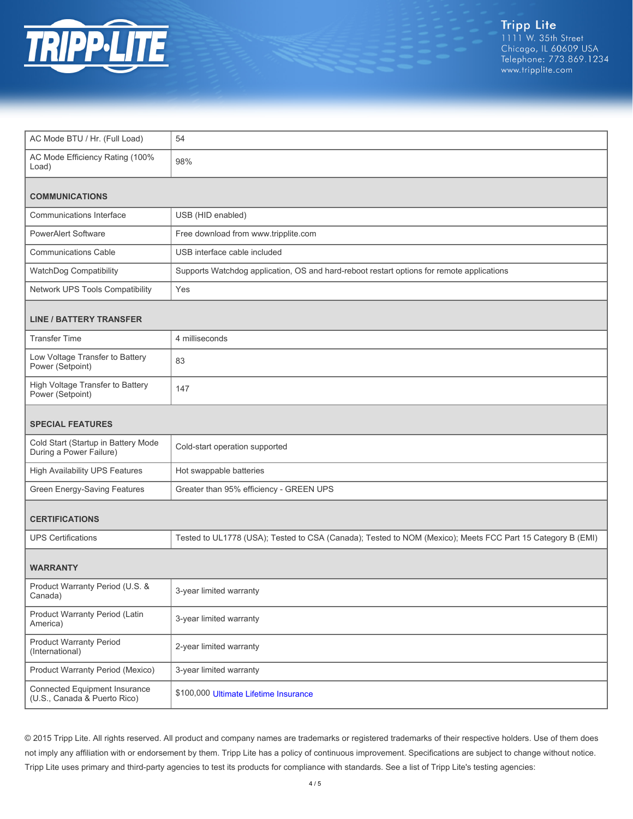

| AC Mode BTU / Hr. (Full Load)                                  | 54                                                                                                         |  |
|----------------------------------------------------------------|------------------------------------------------------------------------------------------------------------|--|
| AC Mode Efficiency Rating (100%<br>Load)                       | 98%                                                                                                        |  |
| <b>COMMUNICATIONS</b>                                          |                                                                                                            |  |
| Communications Interface                                       | USB (HID enabled)                                                                                          |  |
| <b>PowerAlert Software</b>                                     | Free download from www.tripplite.com                                                                       |  |
| <b>Communications Cable</b>                                    | USB interface cable included                                                                               |  |
| WatchDog Compatibility                                         | Supports Watchdog application, OS and hard-reboot restart options for remote applications                  |  |
| Network UPS Tools Compatibility                                | Yes                                                                                                        |  |
| <b>LINE / BATTERY TRANSFER</b>                                 |                                                                                                            |  |
| <b>Transfer Time</b>                                           | 4 milliseconds                                                                                             |  |
| Low Voltage Transfer to Battery<br>Power (Setpoint)            | 83                                                                                                         |  |
| High Voltage Transfer to Battery<br>Power (Setpoint)           | 147                                                                                                        |  |
| <b>SPECIAL FEATURES</b>                                        |                                                                                                            |  |
| Cold Start (Startup in Battery Mode<br>During a Power Failure) | Cold-start operation supported                                                                             |  |
| <b>High Availability UPS Features</b>                          | Hot swappable batteries                                                                                    |  |
| Green Energy-Saving Features                                   | Greater than 95% efficiency - GREEN UPS                                                                    |  |
| <b>CERTIFICATIONS</b>                                          |                                                                                                            |  |
|                                                                |                                                                                                            |  |
| <b>UPS Certifications</b>                                      | Tested to UL1778 (USA); Tested to CSA (Canada); Tested to NOM (Mexico); Meets FCC Part 15 Category B (EMI) |  |
| <b>WARRANTY</b>                                                |                                                                                                            |  |
| Product Warranty Period (U.S. &<br>Canada)                     | 3-year limited warranty                                                                                    |  |
| Product Warranty Period (Latin<br>America)                     | 3-year limited warranty                                                                                    |  |
| <b>Product Warranty Period</b><br>(International)              | 2-year limited warranty                                                                                    |  |
| Product Warranty Period (Mexico)                               | 3-year limited warranty                                                                                    |  |

© 2015 Tripp Lite. All rights reserved. All product and company names are trademarks or registered trademarks of their respective holders. Use of them does not imply any affiliation with or endorsement by them. Tripp Lite has a policy of continuous improvement. Specifications are subject to change without notice. Tripp Lite uses primary and third-party agencies to test its products for compliance with standards. See a list of Tripp Lite's testing agencies: